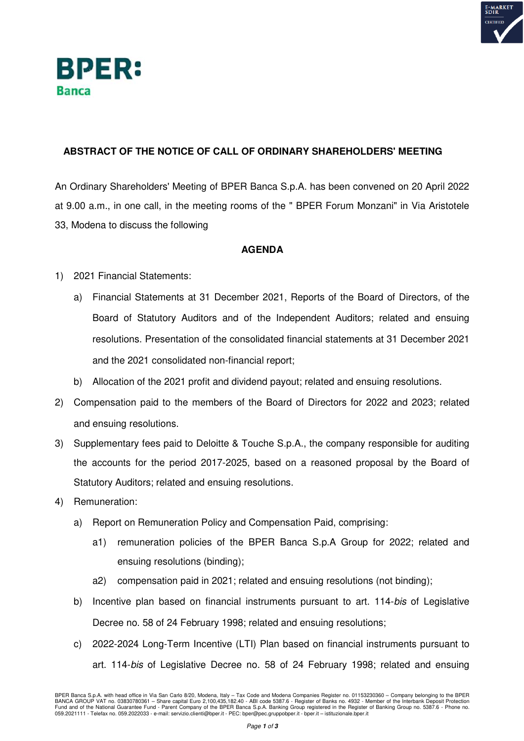



## **ABSTRACT OF THE NOTICE OF CALL OF ORDINARY SHAREHOLDERS' MEETING**

An Ordinary Shareholders' Meeting of BPER Banca S.p.A. has been convened on 20 April 2022 at 9.00 a.m., in one call, in the meeting rooms of the " BPER Forum Monzani" in Via Aristotele 33, Modena to discuss the following

## **AGENDA**

- 1) 2021 Financial Statements:
	- a) Financial Statements at 31 December 2021, Reports of the Board of Directors, of the Board of Statutory Auditors and of the Independent Auditors; related and ensuing resolutions. Presentation of the consolidated financial statements at 31 December 2021 and the 2021 consolidated non-financial report;
	- b) Allocation of the 2021 profit and dividend payout; related and ensuing resolutions.
- 2) Compensation paid to the members of the Board of Directors for 2022 and 2023; related and ensuing resolutions.
- 3) Supplementary fees paid to Deloitte & Touche S.p.A., the company responsible for auditing the accounts for the period 2017-2025, based on a reasoned proposal by the Board of Statutory Auditors; related and ensuing resolutions.
- 4) Remuneration:
	- a) Report on Remuneration Policy and Compensation Paid, comprising:
		- a1) remuneration policies of the BPER Banca S.p.A Group for 2022; related and ensuing resolutions (binding);
		- a2) compensation paid in 2021; related and ensuing resolutions (not binding);
	- b) Incentive plan based on financial instruments pursuant to art. 114-bis of Legislative Decree no. 58 of 24 February 1998; related and ensuing resolutions;
	- c) 2022-2024 Long-Term Incentive (LTI) Plan based on financial instruments pursuant to art. 114-bis of Legislative Decree no. 58 of 24 February 1998; related and ensuing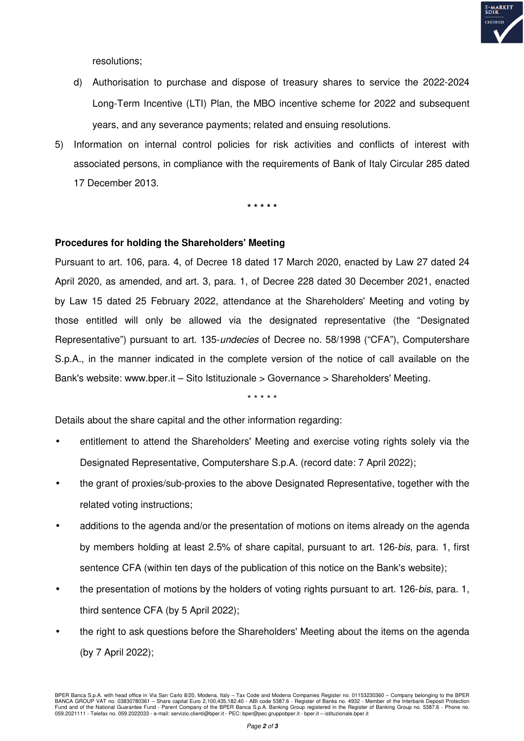

resolutions;

- d) Authorisation to purchase and dispose of treasury shares to service the 2022-2024 Long-Term Incentive (LTI) Plan, the MBO incentive scheme for 2022 and subsequent years, and any severance payments; related and ensuing resolutions.
- 5) Information on internal control policies for risk activities and conflicts of interest with associated persons, in compliance with the requirements of Bank of Italy Circular 285 dated 17 December 2013.

**\* \* \* \* \*** 

## **Procedures for holding the Shareholders' Meeting**

Pursuant to art. 106, para. 4, of Decree 18 dated 17 March 2020, enacted by Law 27 dated 24 April 2020, as amended, and art. 3, para. 1, of Decree 228 dated 30 December 2021, enacted by Law 15 dated 25 February 2022, attendance at the Shareholders' Meeting and voting by those entitled will only be allowed via the designated representative (the "Designated Representative") pursuant to art. 135-*undecies* of Decree no. 58/1998 ("CFA"), Computershare S.p.A., in the manner indicated in the complete version of the notice of call available on the Bank's website: www.bper.it – Sito Istituzionale > Governance > Shareholders' Meeting.

\* \* \* \* \*

Details about the share capital and the other information regarding:

- entitlement to attend the Shareholders' Meeting and exercise voting rights solely via the Designated Representative, Computershare S.p.A. (record date: 7 April 2022);
- the grant of proxies/sub-proxies to the above Designated Representative, together with the related voting instructions;
- additions to the agenda and/or the presentation of motions on items already on the agenda by members holding at least 2.5% of share capital, pursuant to art. 126-bis, para. 1, first sentence CFA (within ten days of the publication of this notice on the Bank's website);
- the presentation of motions by the holders of voting rights pursuant to art. 126-bis, para. 1, third sentence CFA (by 5 April 2022);
- the right to ask questions before the Shareholders' Meeting about the items on the agenda (by 7 April 2022);